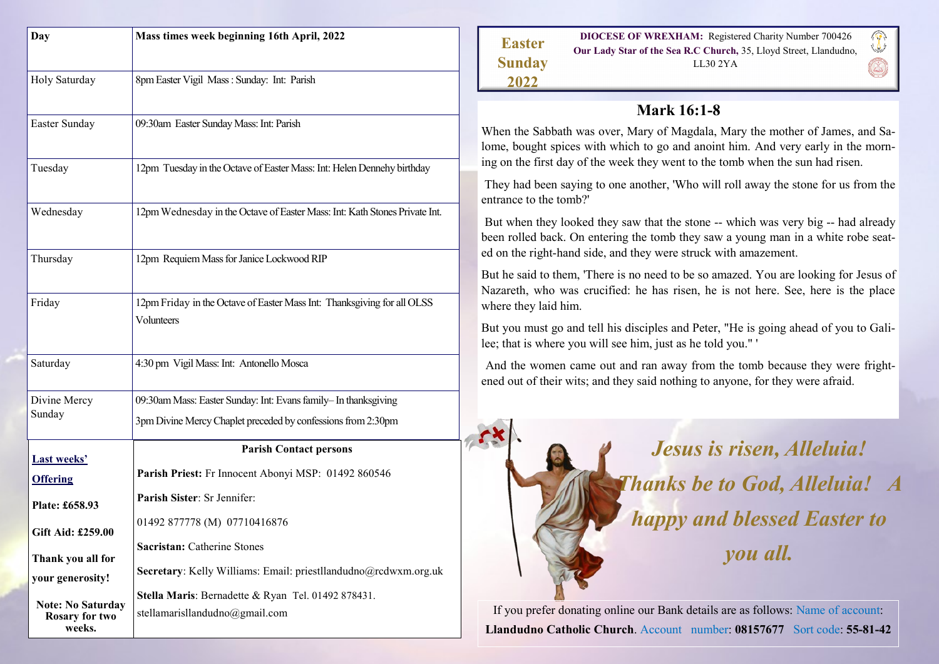| Day                                                         | Mass times week beginning 16th April, 2022                                                                                      |
|-------------------------------------------------------------|---------------------------------------------------------------------------------------------------------------------------------|
|                                                             |                                                                                                                                 |
| Holy Saturday                                               | 8pm Easter Vigil Mass : Sunday: Int: Parish                                                                                     |
| Easter Sunday                                               | 09:30am Easter Sunday Mass: Int: Parish                                                                                         |
| Tuesday                                                     | 12pm Tuesday in the Octave of Easter Mass: Int: Helen Dennehy birthday                                                          |
| Wednesday                                                   | 12pm Wednesday in the Octave of Easter Mass: Int: Kath Stones Private Int.                                                      |
| Thursday                                                    | 12pm Requiem Mass for Janice Lockwood RIP                                                                                       |
| Friday                                                      | 12pm Friday in the Octave of Easter Mass Int: Thanksgiving for all OLSS<br>Volunteers                                           |
| Saturday                                                    | 4:30 pm Vigil Mass: Int: Antonello Mosca                                                                                        |
| Divine Mercy<br>Sunday                                      | 09:30am Mass: Easter Sunday: Int: Evans family- In thanksgiving<br>3pm Divine Mercy Chaplet preceded by confessions from 2:30pm |
| Last weeks'                                                 | <b>Parish Contact persons</b>                                                                                                   |
| <b>Offering</b>                                             | Parish Priest: Fr Innocent Abonyi MSP: 01492 860546                                                                             |
| Plate: £658.93                                              | Parish Sister: Sr Jennifer:                                                                                                     |
| Gift Aid: £259.00                                           | 01492 877778 (M) 07710416876                                                                                                    |
| Thank you all for                                           | <b>Sacristan: Catherine Stones</b>                                                                                              |
| your generosity!                                            | Secretary: Kelly Williams: Email: priestllandudno@rcdwxm.org.uk                                                                 |
|                                                             | Stella Maris: Bernadette & Ryan Tel. 01492 878431.                                                                              |
| <b>Note: No Saturday</b><br><b>Rosary for two</b><br>weeks. | stellamarisllandudno@gmail.com                                                                                                  |

| <b>Easter</b> | <b>DIOCESE OF WREXHAM:</b> Registered Charity Number 700426       | $\sqrt{2}$ |
|---------------|-------------------------------------------------------------------|------------|
|               | Our Lady Star of the Sea R.C Church, 35, Lloyd Street, Llandudno, |            |
| <b>Sunday</b> | LL302YA                                                           |            |
| 2022          |                                                                   |            |

# **Mark 16:1-8**

When the Sabbath was over, Mary of Magdala, Mary the mother of James, and Salome, bought spices with which to go and anoint him. And very early in the morning on the first day of the week they went to the tomb when the sun had risen.

They had been saying to one another, 'Who will roll away the stone for us from the entrance to the tomb?'

But when they looked they saw that the stone -- which was very big -- had already been rolled back. On entering the tomb they saw a young man in a white robe seated on the right-hand side, and they were struck with amazement.

But he said to them, 'There is no need to be so amazed. You are looking for Jesus of Nazareth, who was crucified: he has risen, he is not here. See, here is the place where they laid him.

But you must go and tell his disciples and Peter, "He is going ahead of you to Galilee; that is where you will see him, just as he told you." '

And the women came out and ran away from the tomb because they were frightened out of their wits; and they said nothing to anyone, for they were afraid.



If you prefer donating online our Bank details are as follows: Name of account: **Llandudno Catholic Church**. Account number: **08157677** Sort code: **55-81-42**